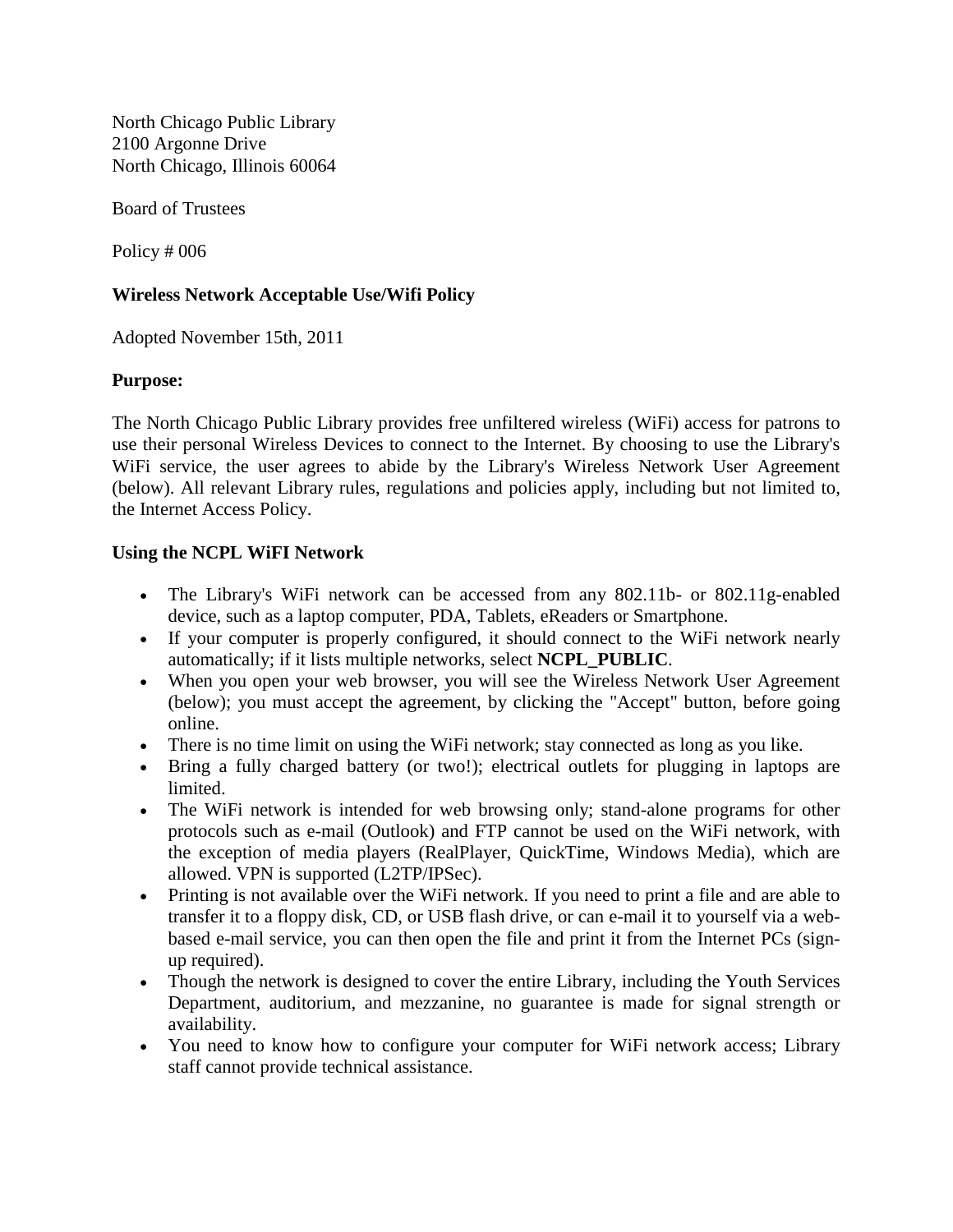North Chicago Public Library 2100 Argonne Drive North Chicago, Illinois 60064

Board of Trustees

Policy # 006

## **Wireless Network Acceptable Use/Wifi Policy**

Adopted November 15th, 2011

## **Purpose:**

The North Chicago Public Library provides free unfiltered wireless (WiFi) access for patrons to use their personal Wireless Devices to connect to the Internet. By choosing to use the Library's WiFi service, the user agrees to abide by the Library's Wireless Network User Agreement (below). All relevant Library rules, regulations and policies apply, including but not limited to, the Internet Access Policy.

## **Using the NCPL WiFI Network**

- The Library's WiFi network can be accessed from any 802.11b- or 802.11g-enabled device, such as a laptop computer, PDA, Tablets, eReaders or Smartphone.
- If your computer is properly configured, it should connect to the WiFi network nearly automatically; if it lists multiple networks, select **NCPL\_PUBLIC**.
- When you open your web browser, you will see the Wireless Network User Agreement (below); you must accept the agreement, by clicking the "Accept" button, before going online.
- There is no time limit on using the WiFi network; stay connected as long as you like.
- Bring a fully charged battery (or two!); electrical outlets for plugging in laptops are limited.
- The WiFi network is intended for web browsing only; stand-alone programs for other protocols such as e-mail (Outlook) and FTP cannot be used on the WiFi network, with the exception of media players (RealPlayer, QuickTime, Windows Media), which are allowed. VPN is supported (L2TP/IPSec).
- Printing is not available over the WiFi network. If you need to print a file and are able to transfer it to a floppy disk, CD, or USB flash drive, or can e-mail it to yourself via a webbased e-mail service, you can then open the file and print it from the Internet PCs (signup required).
- Though the network is designed to cover the entire Library, including the Youth Services Department, auditorium, and mezzanine, no guarantee is made for signal strength or availability.
- You need to know how to configure your computer for WiFi network access; Library staff cannot provide technical assistance.